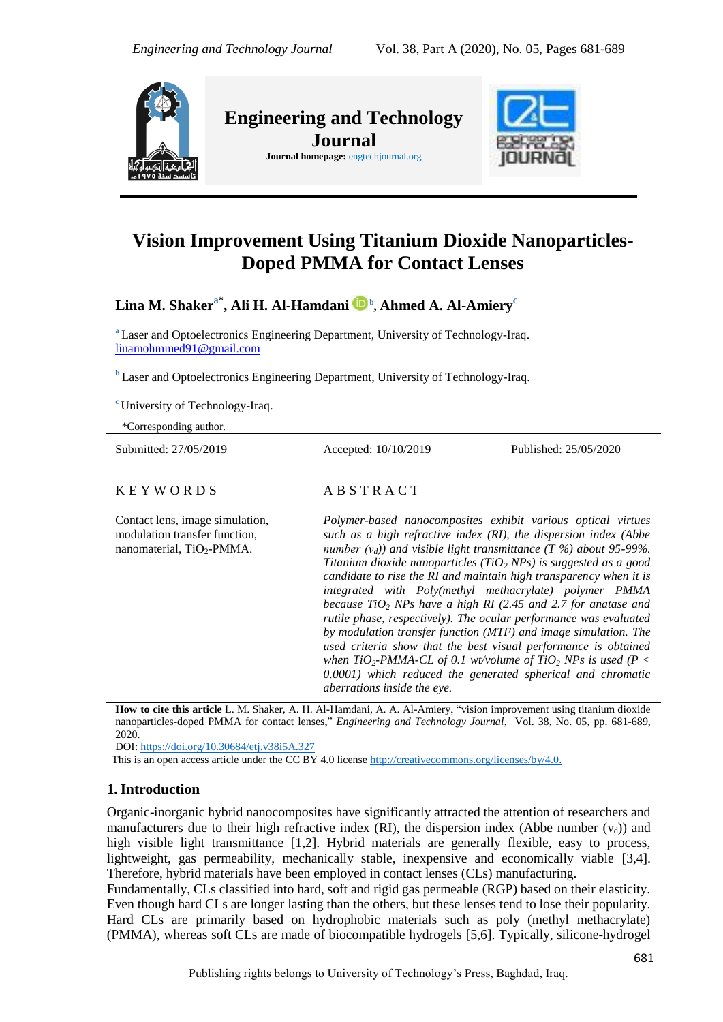

# **Vision Improvement Using Titanium Dioxide Nanoparticles-Doped PMMA for Contact Lenses**

**Lina M. Shakera\* , Ali H. Al-Hamdani <sup>b</sup> , Ahmed A. Al-Amiery<sup>c</sup>**

**<sup>a</sup>** Laser and Optoelectronics Engineering Department, University of Technology-Iraq. [linamohmmed91@gmail.com](mailto:linamohmmed91@gmail.com)

**b** Laser and Optoelectronics Engineering Department, University of Technology-Iraq.

**<sup>c</sup>** University of Technology-Iraq.

| *Corresponding author.                                                                                    |                                                                                                                                                                                                                                                                                                                                                                                                                                                                                                                                                                                                                                                                                                                                                                                                                                                               |                       |
|-----------------------------------------------------------------------------------------------------------|---------------------------------------------------------------------------------------------------------------------------------------------------------------------------------------------------------------------------------------------------------------------------------------------------------------------------------------------------------------------------------------------------------------------------------------------------------------------------------------------------------------------------------------------------------------------------------------------------------------------------------------------------------------------------------------------------------------------------------------------------------------------------------------------------------------------------------------------------------------|-----------------------|
| Submitted: 27/05/2019                                                                                     | Accepted: 10/10/2019                                                                                                                                                                                                                                                                                                                                                                                                                                                                                                                                                                                                                                                                                                                                                                                                                                          | Published: 25/05/2020 |
| <b>KEYWORDS</b>                                                                                           | ABSTRACT                                                                                                                                                                                                                                                                                                                                                                                                                                                                                                                                                                                                                                                                                                                                                                                                                                                      |                       |
| Contact lens, image simulation,<br>modulation transfer function,<br>nanomaterial, TiO <sub>2</sub> -PMMA. | Polymer-based nanocomposites exhibit various optical virtues<br>such as a high refractive index (RI), the dispersion index (Abbe<br>number $(v_d)$ ) and visible light transmittance (T %) about 95-99%.<br>Titanium dioxide nanoparticles (TiO <sub>2</sub> NPs) is suggested as a good<br>candidate to rise the RI and maintain high transparency when it is<br>integrated with Poly(methyl methacrylate) polymer PMMA<br>because $TiO2$ NPs have a high RI (2.45 and 2.7 for anatase and<br>rutile phase, respectively). The ocular performance was evaluated<br>by modulation transfer function (MTF) and image simulation. The<br>used criteria show that the best visual performance is obtained<br>when TiO <sub>2</sub> -PMMA-CL of 0.1 wt/volume of TiO <sub>2</sub> NPs is used (P <<br>0.0001) which reduced the generated spherical and chromatic |                       |

**How to cite this article** L. M. Shaker, A. H. Al-Hamdani, A. A. Al-Amiery, "vision improvement using titanium dioxide nanoparticles-doped PMMA for contact lenses," *Engineering and Technology Journal*, Vol. 38, No. 05, pp. 681-689, 2020.

*aberrations inside the eye.*

DOI:<https://doi.org/10.30684/etj.v38i5A.327>

This is an open access article under the CC BY 4.0 license [http://creativecommons.org/licenses/by/4.0.](http://creativecommons.org/licenses/by/4.0)

### **1.Introduction**

Organic-inorganic hybrid nanocomposites have significantly attracted the attention of researchers and manufacturers due to their high refractive index (RI), the dispersion index (Abbe number  $(v_a)$ ) and high visible light transmittance [1,2]. Hybrid materials are generally flexible, easy to process, lightweight, gas permeability, mechanically stable, inexpensive and economically viable [3,4]. Therefore, hybrid materials have been employed in contact lenses (CLs) manufacturing.

Fundamentally, CLs classified into hard, soft and rigid gas permeable (RGP) based on their elasticity. Even though hard CLs are longer lasting than the others, but these lenses tend to lose their popularity. Hard CLs are primarily based on hydrophobic materials such as poly (methyl methacrylate) (PMMA), whereas soft CLs are made of biocompatible hydrogels [5,6]. Typically, silicone-hydrogel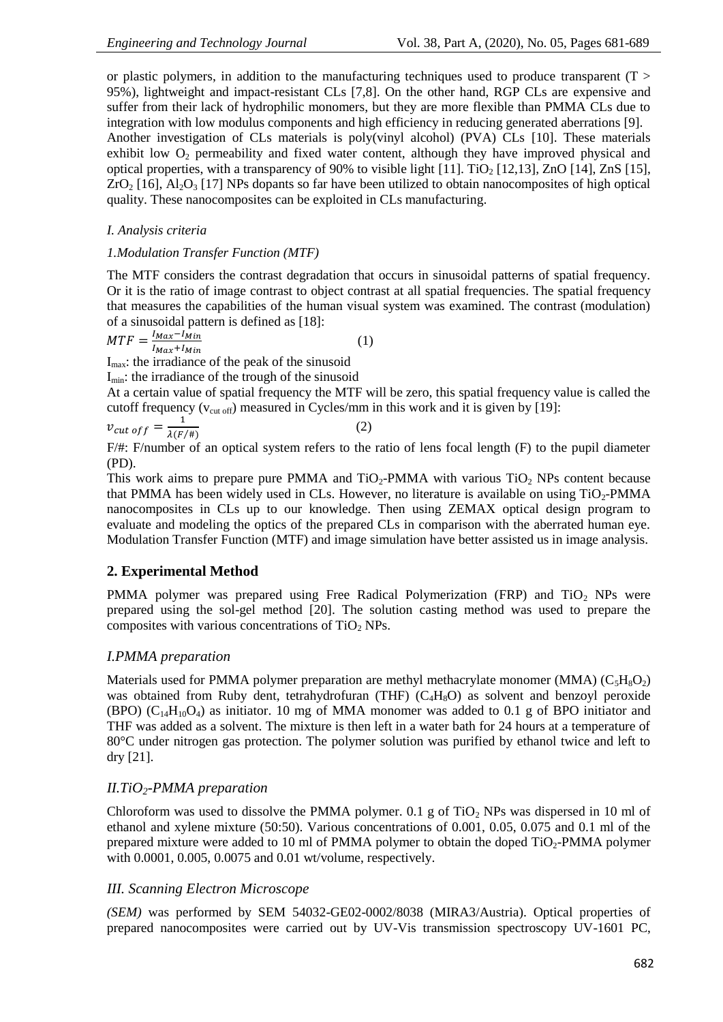or plastic polymers, in addition to the manufacturing techniques used to produce transparent ( $T >$ 95%), lightweight and impact-resistant CLs [7,8]. On the other hand, RGP CLs are expensive and suffer from their lack of hydrophilic monomers, but they are more flexible than PMMA CLs due to integration with low modulus components and high efficiency in reducing generated aberrations [9]. Another investigation of CLs materials is poly(vinyl alcohol) (PVA) CLs [10]. These materials exhibit low  $O<sub>2</sub>$  permeability and fixed water content, although they have improved physical and optical properties, with a transparency of 90% to visible light  $[11]$ . TiO<sub>2</sub>  $[12,13]$ , ZnO  $[14]$ , ZnS  $[15]$ ,  $ZrO<sub>2</sub>$  [16], Al<sub>2</sub>O<sub>3</sub> [17] NPs dopants so far have been utilized to obtain nanocomposites of high optical quality. These nanocomposites can be exploited in CLs manufacturing.

# *I. Analysis criteria*

### *1.Modulation Transfer Function (MTF)*

The MTF considers the contrast degradation that occurs in sinusoidal patterns of spatial frequency. Or it is the ratio of image contrast to object contrast at all spatial frequencies. The spatial frequency that measures the capabilities of the human visual system was examined. The contrast (modulation) of a sinusoidal pattern is defined as [18]:

$$
MTF = \frac{I_{Max} - I_{Min}}{I_{Max} + I_{Min}} \tag{1}
$$

 $I_{\text{max}}$ : the irradiance of the peak of the sinusoid

 $I_{\text{min}}$ : the irradiance of the trough of the sinusoid

At a certain value of spatial frequency the MTF will be zero, this spatial frequency value is called the cutoff frequency ( $v_{\text{cut off}}$ ) measured in Cycles/mm in this work and it is given by [19]:

 $v_{cut ~off} = \frac{1}{\lambda(F/\#)}$  $\mathbf{1}$  $(2)$ 

F/#: F/number of an optical system refers to the ratio of lens focal length (F) to the pupil diameter (PD).

This work aims to prepare pure PMMA and  $TiO<sub>2</sub>-PMMA$  with various  $TiO<sub>2</sub>$  NPs content because that PMMA has been widely used in CLs. However, no literature is available on using TiO<sub>2</sub>-PMMA nanocomposites in CLs up to our knowledge. Then using ZEMAX optical design program to evaluate and modeling the optics of the prepared CLs in comparison with the aberrated human eye. Modulation Transfer Function (MTF) and image simulation have better assisted us in image analysis.

# **2. Experimental Method**

PMMA polymer was prepared using Free Radical Polymerization (FRP) and TiO<sub>2</sub> NPs were prepared using the sol-gel method [20]. The solution casting method was used to prepare the composites with various concentrations of  $TiO<sub>2</sub>$  NPs.

# *I.PMMA preparation*

Materials used for PMMA polymer preparation are methyl methacrylate monomer (MMA) ( $C_5H_8O_2$ ) was obtained from Ruby dent, tetrahydrofuran (THF) (C<sub>4</sub>H<sub>8</sub>O) as solvent and benzoyl peroxide (BPO) ( $C_{14}H_{10}O_4$ ) as initiator. 10 mg of MMA monomer was added to 0.1 g of BPO initiator and THF was added as a solvent. The mixture is then left in a water bath for 24 hours at a temperature of 80°C under nitrogen gas protection. The polymer solution was purified by ethanol twice and left to dry [21].

# *II.TiO2-PMMA preparation*

Chloroform was used to dissolve the PMMA polymer. 0.1 g of  $TiO<sub>2</sub>$  NPs was dispersed in 10 ml of ethanol and xylene mixture (50:50). Various concentrations of 0.001, 0.05, 0.075 and 0.1 ml of the prepared mixture were added to 10 ml of PMMA polymer to obtain the doped TiO<sub>2</sub>-PMMA polymer with 0.0001, 0.005, 0.0075 and 0.01 wt/volume, respectively.

# *III. Scanning Electron Microscope*

*(SEM)* was performed by SEM 54032-GE02-0002/8038 (MIRA3/Austria). Optical properties of prepared nanocomposites were carried out by UV-Vis transmission spectroscopy UV-1601 PC,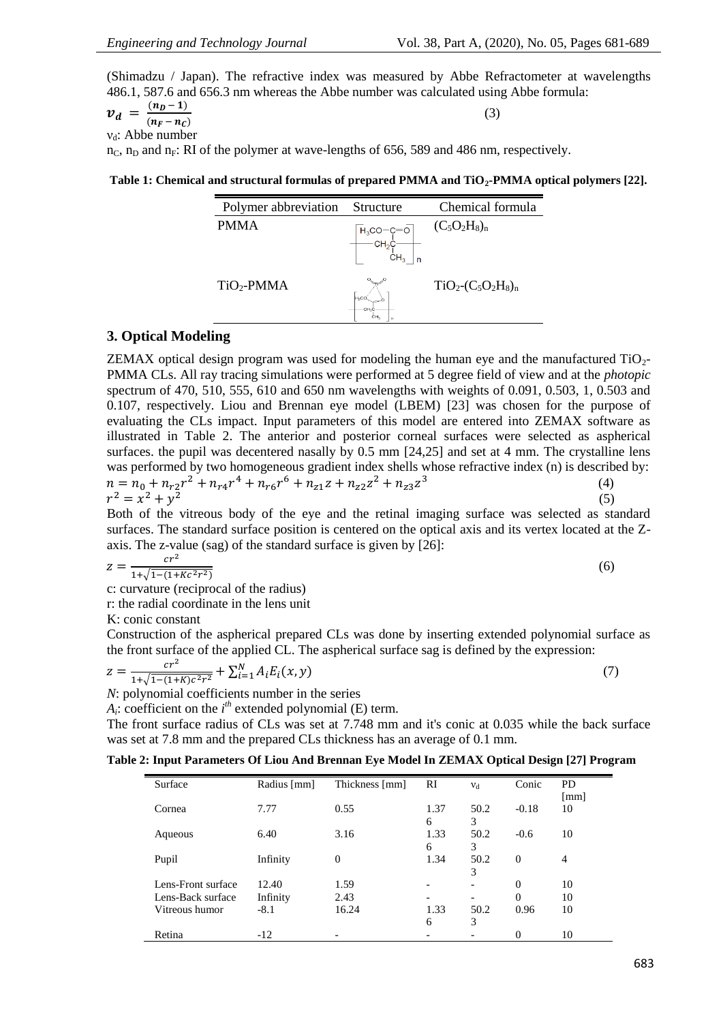(Shimadzu / Japan). The refractive index was measured by Abbe Refractometer at wavelengths 486.1, 587.6 and 656.3 nm whereas the Abbe number was calculated using Abbe formula:

$$
\mathbf{v_d} = \frac{(n_b - 1)}{(n_F - n_c)}
$$
(3)  
v<sub>d</sub>: Abbe number  
n<sub>C</sub>, n<sub>D</sub> and n<sub>F</sub>: RI of the polymer at wave-lengths of 656, 589 and 486 nm, respectively.

**Table 1: Chemical and structural formulas of prepared PMMA and TiO2-PMMA optical polymers [22].**

| Polymer abbreviation | Structure        | Chemical formula            |
|----------------------|------------------|-----------------------------|
| <b>PMMA</b>          | n                | $(C_5O_2H_8)_n$             |
| $TiO2-PMMA$          | H-CO<br>CH.<br>n | $TiO_2$ - $(C_5O_2H_8)_{n}$ |

### **3. Optical Modeling**

ZEMAX optical design program was used for modeling the human eye and the manufactured  $TiO<sub>2</sub>$ -PMMA CLs. All ray tracing simulations were performed at 5 degree field of view and at the *photopic* spectrum of 470, 510, 555, 610 and 650 nm wavelengths with weights of 0.091, 0.503, 1, 0.503 and 0.107, respectively. Liou and Brennan eye model (LBEM) [23] was chosen for the purpose of evaluating the CLs impact. Input parameters of this model are entered into ZEMAX software as illustrated in Table 2. The anterior and posterior corneal surfaces were selected as aspherical surfaces, the pupil was decentered nasally by 0.5 mm [24,25] and set at 4 mm. The crystalline lens was performed by two homogeneous gradient index shells whose refractive index (n) is described by:  $n = n_0 + n_{r2}r^2 + n_{r4}r^4 + n_{r6}r^6 + n_{z1}z + n_{z2}z^2 + n_{z3}z^3$  (4)  $r^2 = x^2 + y^2$ (5)

Both of the vitreous body of the eye and the retinal imaging surface was selected as standard surfaces. The standard surface position is centered on the optical axis and its vertex located at the Zaxis. The z-value (sag) of the standard surface is given by [26]:

$$
z = \frac{cr^2}{1 + \sqrt{1 - (1 + Kc^2r^2)}}\tag{6}
$$

c: curvature (reciprocal of the radius)

r: the radial coordinate in the lens unit

K: conic constant

Construction of the aspherical prepared CLs was done by inserting extended polynomial surface as the front surface of the applied CL. The aspherical surface sag is defined by the expression:

$$
z = \frac{cr^2}{1 + \sqrt{1 - (1 + K)c^2r^2}} + \sum_{i=1}^{N} A_i E_i(x, y)
$$
\n(7)

*N*: polynomial coefficients number in the series

 $A_i$ : coefficient on the  $i^{th}$  extended polynomial (E) term.

The front surface radius of CLs was set at 7.748 mm and it's conic at 0.035 while the back surface was set at 7.8 mm and the prepared CLs thickness has an average of 0.1 mm.

| Table 2: Input Parameters Of Liou And Brennan Eye Model In ZEMAX Optical Design [27] Program |  |  |
|----------------------------------------------------------------------------------------------|--|--|
|----------------------------------------------------------------------------------------------|--|--|

| Surface            | Radius [mm] | Thickness [mm] | RI        | $V_{\rm d}$ | Conic    | <b>PD</b>  |
|--------------------|-------------|----------------|-----------|-------------|----------|------------|
| Cornea             | 7.77        | 0.55           | 1.37      | 50.2        | $-0.18$  | [mm]<br>10 |
|                    |             |                | 6         | 3           |          |            |
| Aqueous            | 6.40        | 3.16           | 1.33<br>6 | 50.2<br>3   | $-0.6$   | 10         |
| Pupil              | Infinity    | $\Omega$       | 1.34      | 50.2<br>3   | $\theta$ | 4          |
| Lens-Front surface | 12.40       | 1.59           |           | -           | $\Omega$ | 10         |
| Lens-Back surface  | Infinity    | 2.43           |           |             | $\theta$ | 10         |
| Vitreous humor     | $-8.1$      | 16.24          | 1.33      | 50.2        | 0.96     | 10         |
|                    |             |                | 6         | 3           |          |            |
| Retina             | $-12$       |                |           |             | 0        | 10         |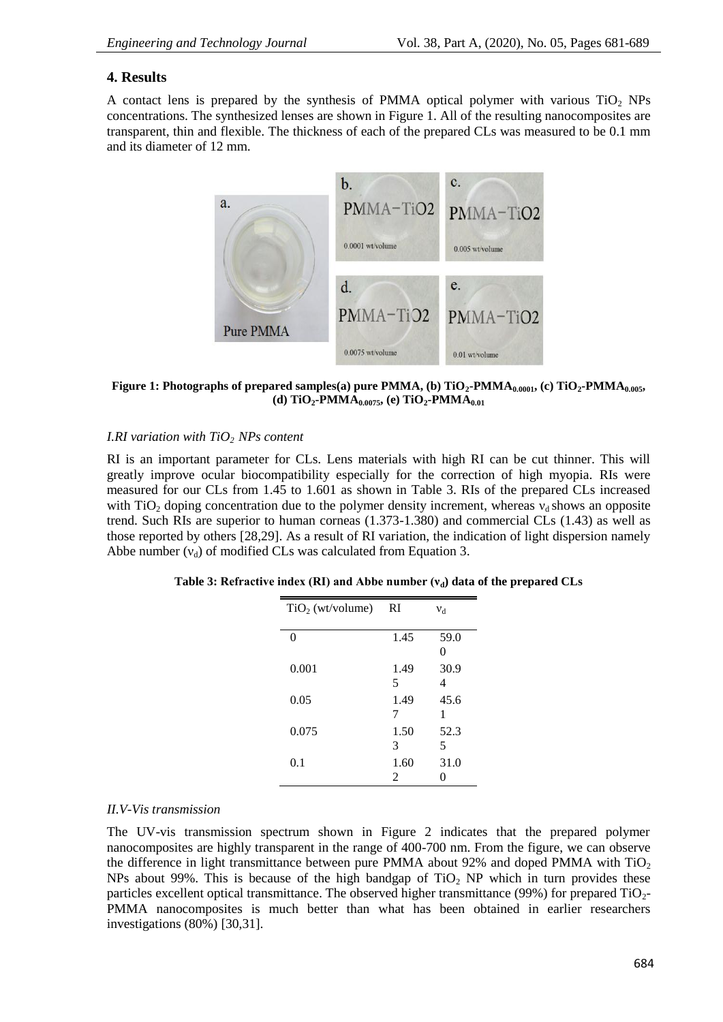# **4. Results**

A contact lens is prepared by the synthesis of PMMA optical polymer with various TiO<sub>2</sub> NPs concentrations. The synthesized lenses are shown in Figure 1. All of the resulting nanocomposites are transparent, thin and flexible. The thickness of each of the prepared CLs was measured to be 0.1 mm and its diameter of 12 mm.



**Figure 1: Photographs of prepared samples(a) pure PMMA, (b) TiO2-PMMA0.0001, (c) TiO2-PMMA0.005, (d) TiO**<sub>2</sub>**-PMMA**<sub>0.0075</sub>**, (e) TiO**<sub>2</sub>**-PMMA**<sub>0.01</sub>

# *I.RI variation with TiO2 NPs content*

RI is an important parameter for CLs. Lens materials with high RI can be cut thinner. This will greatly improve ocular biocompatibility especially for the correction of high myopia. RIs were measured for our CLs from 1.45 to 1.601 as shown in Table 3. RIs of the prepared CLs increased with TiO<sub>2</sub> doping concentration due to the polymer density increment, whereas  $v_d$  shows an opposite trend. Such RIs are superior to human corneas (1.373-1.380) and commercial CLs (1.43) as well as those reported by others [28,29]. As a result of RI variation, the indication of light dispersion namely Abbe number  $(v_d)$  of modified CLs was calculated from Equation 3.

|  |  | Table 3: Refractive index (RI) and Abbe number $(v_d)$ data of the prepared CLs |  |
|--|--|---------------------------------------------------------------------------------|--|
|--|--|---------------------------------------------------------------------------------|--|

| $TiO2$ (wt/volume) | <b>RI</b> | $V_d$     |
|--------------------|-----------|-----------|
| 0                  | 1.45      | 59.0<br>0 |
| 0.001              | 1.49<br>5 | 30.9<br>4 |
| 0.05               | 1.49<br>7 | 45.6<br>1 |
| 0.075              | 1.50<br>3 | 52.3<br>5 |
| 0.1                | 1.60<br>2 | 31.0      |

### *II.V-Vis transmission*

The UV-vis transmission spectrum shown in Figure 2 indicates that the prepared polymer nanocomposites are highly transparent in the range of 400-700 nm. From the figure, we can observe the difference in light transmittance between pure PMMA about 92% and doped PMMA with  $TiO<sub>2</sub>$ NPs about 99%. This is because of the high bandgap of  $TiO<sub>2</sub>$  NP which in turn provides these particles excellent optical transmittance. The observed higher transmittance (99%) for prepared TiO2- PMMA nanocomposites is much better than what has been obtained in earlier researchers investigations (80%) [30,31].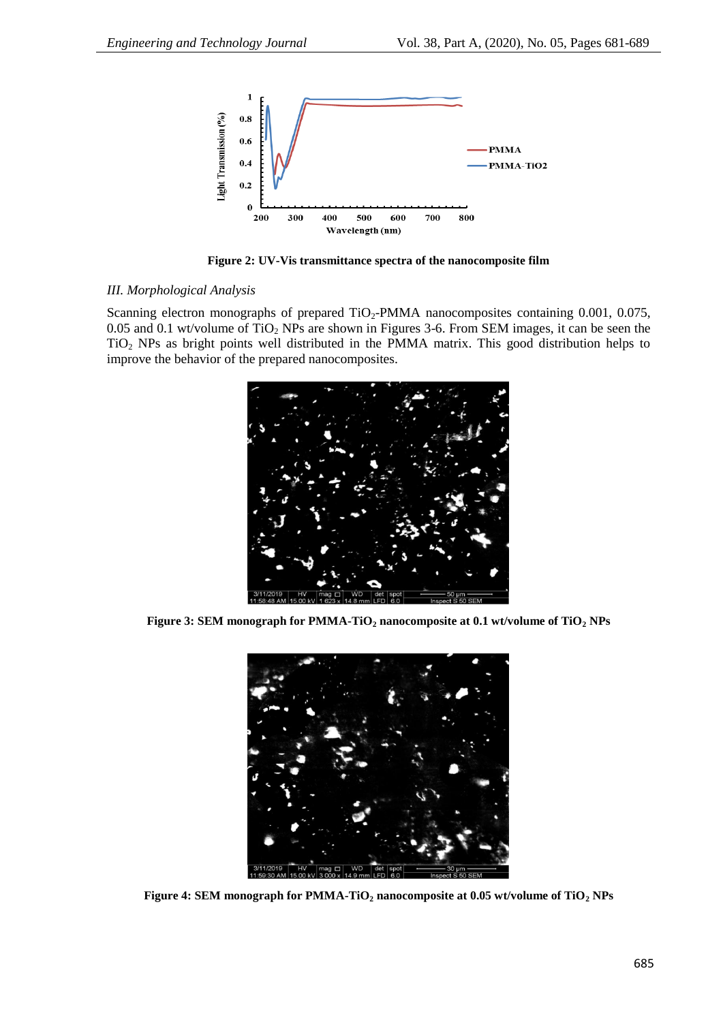

**Figure 2: UV-Vis transmittance spectra of the nanocomposite film**

### *III. Morphological Analysis*

Scanning electron monographs of prepared  $TiO<sub>2</sub>$ -PMMA nanocomposites containing 0.001, 0.075, 0.05 and 0.1 wt/volume of  $TiO<sub>2</sub>$  NPs are shown in Figures 3-6. From SEM images, it can be seen the TiO<sup>2</sup> NPs as bright points well distributed in the PMMA matrix. This good distribution helps to improve the behavior of the prepared nanocomposites.



**Figure 3: SEM monograph for PMMA-TiO<sup>2</sup> nanocomposite at 0.1 wt/volume of TiO<sup>2</sup> NPs**



**Figure 4: SEM monograph for PMMA-TiO<sup>2</sup> nanocomposite at 0.05 wt/volume of TiO<sup>2</sup> NPs**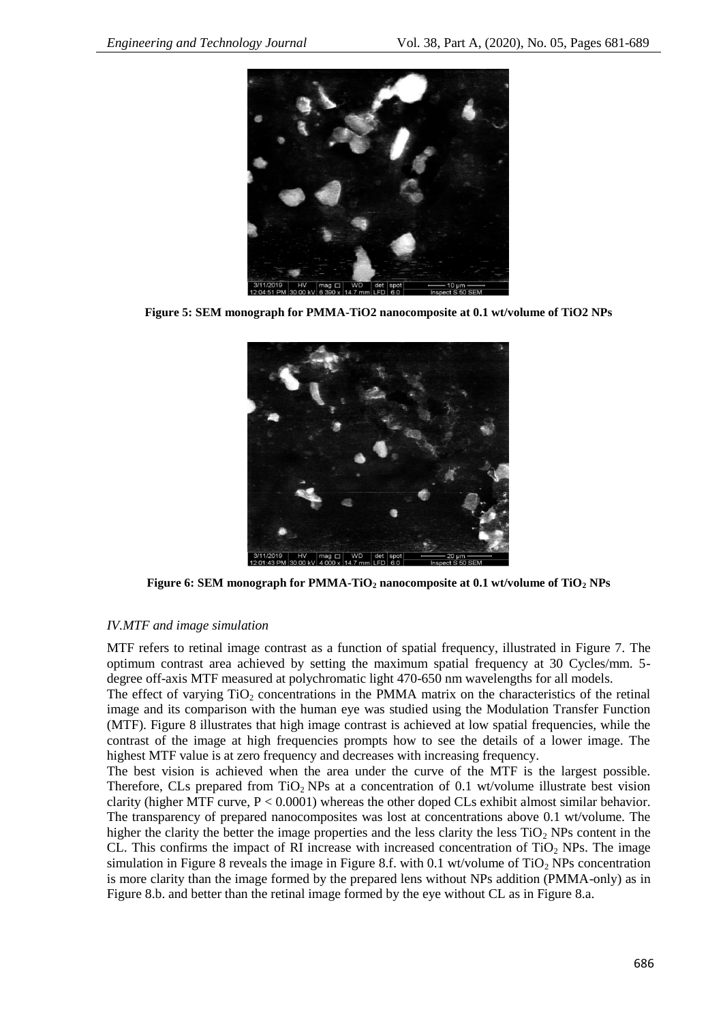

**Figure 5: SEM monograph for PMMA-TiO2 nanocomposite at 0.1 wt/volume of TiO2 NPs**



**Figure 6: SEM monograph for PMMA-TiO<sup>2</sup> nanocomposite at 0.1 wt/volume of TiO<sup>2</sup> NPs**

#### *IV.MTF and image simulation*

MTF refers to retinal image contrast as a function of spatial frequency, illustrated in Figure 7. The optimum contrast area achieved by setting the maximum spatial frequency at 30 Cycles/mm. 5 degree off-axis MTF measured at polychromatic light 470-650 nm wavelengths for all models.

The effect of varying  $TiO<sub>2</sub>$  concentrations in the PMMA matrix on the characteristics of the retinal image and its comparison with the human eye was studied using the Modulation Transfer Function (MTF). Figure 8 illustrates that high image contrast is achieved at low spatial frequencies, while the contrast of the image at high frequencies prompts how to see the details of a lower image. The highest MTF value is at zero frequency and decreases with increasing frequency.

The best vision is achieved when the area under the curve of the MTF is the largest possible. Therefore, CLs prepared from TiO<sub>2</sub> NPs at a concentration of  $0.1$  wt/volume illustrate best vision clarity (higher MTF curve,  $P < 0.0001$ ) whereas the other doped CLs exhibit almost similar behavior. The transparency of prepared nanocomposites was lost at concentrations above 0.1 wt/volume. The higher the clarity the better the image properties and the less clarity the less  $TiO<sub>2</sub> NPs$  content in the CL. This confirms the impact of RI increase with increased concentration of  $TiO<sub>2</sub>$  NPs. The image simulation in Figure 8 reveals the image in Figure 8.f. with 0.1 wt/volume of  $TiO<sub>2</sub>$  NPs concentration is more clarity than the image formed by the prepared lens without NPs addition (PMMA-only) as in Figure 8.b. and better than the retinal image formed by the eye without CL as in Figure 8.a.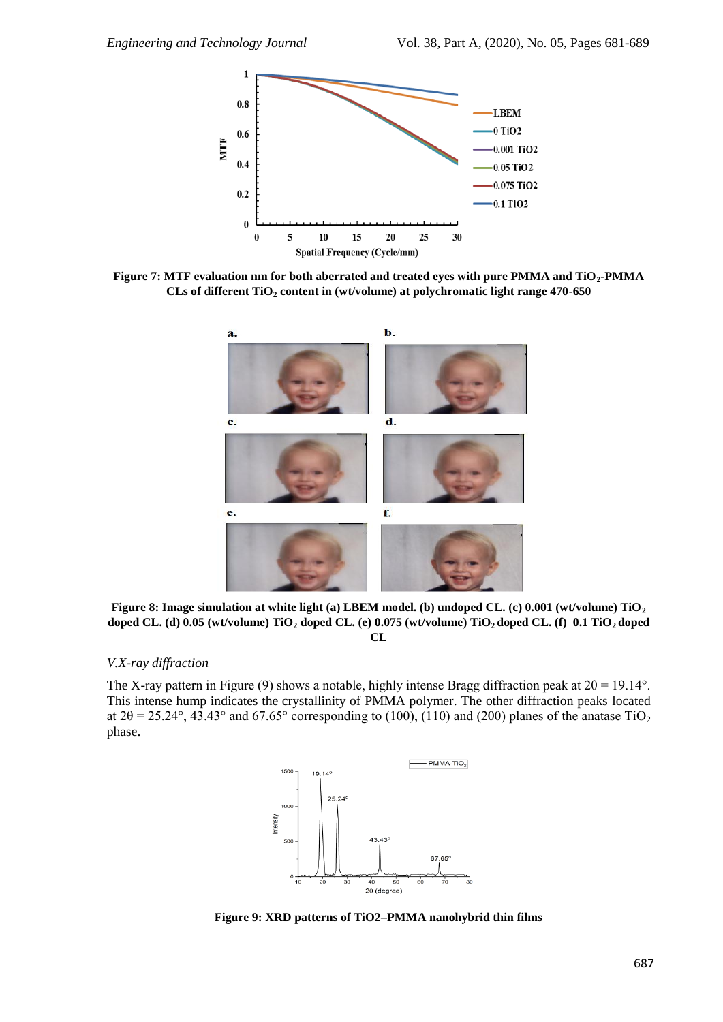

**Figure 7: MTF evaluation nm for both aberrated and treated eyes with pure PMMA and TiO2-PMMA CLs of different TiO<sup>2</sup> content in (wt/volume) at polychromatic light range 470-650**



**Figure 8: Image simulation at white light (a) LBEM model. (b) undoped CL. (c) 0.001 (wt/volume) TiO<sup>2</sup> doped CL. (d) 0.05 (wt/volume) TiO<sup>2</sup> doped CL. (e) 0.075 (wt/volume) TiO2 doped CL. (f) 0.1 TiO2 doped CL**

# *V.X-ray diffraction*

The X-ray pattern in Figure (9) shows a notable, highly intense Bragg diffraction peak at  $2\theta = 19.14^{\circ}$ . This intense hump indicates the crystallinity of PMMA polymer. The other diffraction peaks located at  $2\theta = 25.24^{\circ}$ , 43.43° and 67.65° corresponding to (100), (110) and (200) planes of the anatase TiO<sub>2</sub> phase.



**Figure 9: XRD patterns of TiO2–PMMA nanohybrid thin films**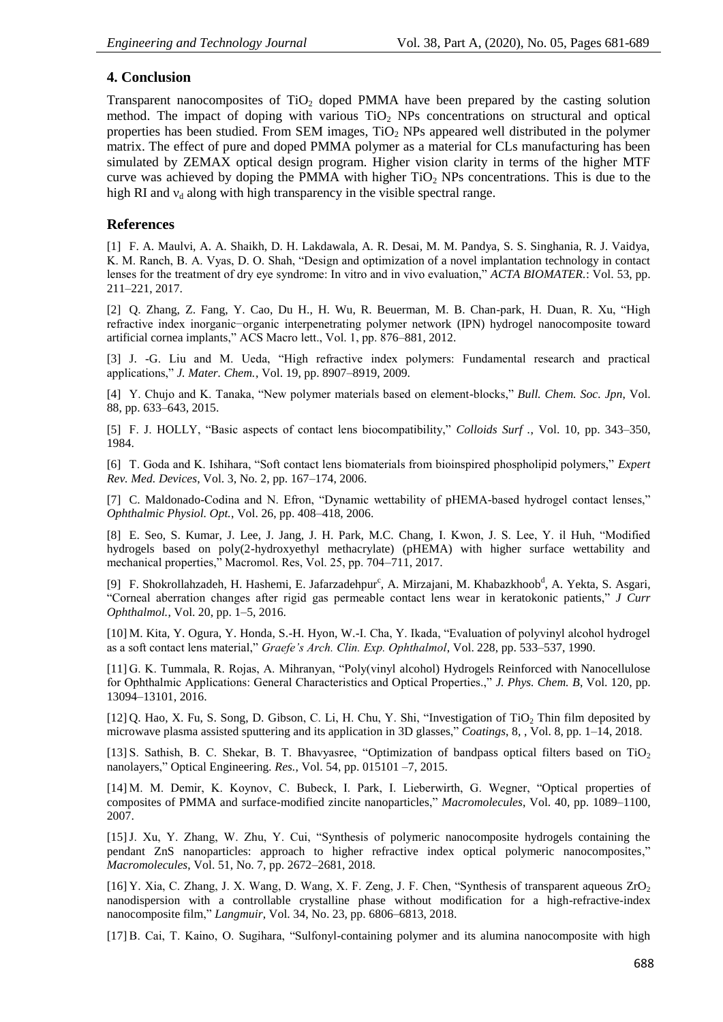# **4. Conclusion**

Transparent nanocomposites of  $TiO<sub>2</sub>$  doped PMMA have been prepared by the casting solution method. The impact of doping with various  $TiO<sub>2</sub>$  NPs concentrations on structural and optical properties has been studied. From SEM images,  $TiO<sub>2</sub>$  NPs appeared well distributed in the polymer matrix. The effect of pure and doped PMMA polymer as a material for CLs manufacturing has been simulated by ZEMAX optical design program. Higher vision clarity in terms of the higher MTF curve was achieved by doping the PMMA with higher  $TiO<sub>2</sub>$  NPs concentrations. This is due to the high RI and  $v_d$  along with high transparency in the visible spectral range.

### **References**

[1] F. A. Maulvi, A. A. Shaikh, D. H. Lakdawala, A. R. Desai, M. M. Pandya, S. S. Singhania, R. J. Vaidya, K. M. Ranch, B. A. Vyas, D. O. Shah, "Design and optimization of a novel implantation technology in contact lenses for the treatment of dry eye syndrome: In vitro and in vivo evaluation," *ACTA BIOMATER.*: Vol. 53, pp. 211–221, 2017.

[2] Q. Zhang, Z. Fang, Y. Cao, Du H., H. Wu, R. Beuerman, M. B. Chan-park, H. Duan, R. Xu, "High refractive index inorganic−organic interpenetrating polymer network (IPN) hydrogel nanocomposite toward artificial cornea implants," ACS Macro lett., Vol. 1, pp. 876–881, 2012.

[3] J. -G. Liu and M. Ueda, "High refractive index polymers: Fundamental research and practical applications," *J. Mater. Chem.*, Vol. 19, pp. 8907–8919, 2009.

[4] Y. Chujo and K. Tanaka, "New polymer materials based on element-blocks," *Bull. Chem. Soc. Jpn*, Vol. 88, pp. 633–643, 2015.

[5] F. J. HOLLY, "Basic aspects of contact lens biocompatibility," *Colloids Surf .*, Vol. 10, pp. 343–350, 1984.

[6] T. Goda and K. Ishihara, "Soft contact lens biomaterials from bioinspired phospholipid polymers," *Expert Rev. Med. Devices*, Vol. 3, No. 2, pp. 167–174, 2006.

[7] C. Maldonado-Codina and N. Efron, "Dynamic wettability of pHEMA-based hydrogel contact lenses," *Ophthalmic Physiol. Opt.*, Vol. 26, pp. 408–418, 2006.

[8] E. Seo, S. Kumar, J. Lee, J. Jang, J. H. Park, M.C. Chang, I. Kwon, J. S. Lee, Y. il Huh, "Modified hydrogels based on poly(2-hydroxyethyl methacrylate) (pHEMA) with higher surface wettability and mechanical properties," Macromol. Res, Vol. 25, pp. 704–711, 2017.

[9] [F. Shokrollahzadeh, H. Hashemi, E](https://www.sciencedirect.com/science/article/pii/S2452232516301019#!). Jafarzadehpur<sup>c</sup>, [A. Mirzajani, M](https://www.sciencedirect.com/science/article/pii/S2452232516301019#!). Khabazkhoob<sup>d</sup>, A. Yekta, S. Asgari, "Corneal aberration changes after rigid gas permeable contact lens wear in keratokonic patients," *J Curr Ophthalmol.*, Vol. 20, pp. 1–5, 2016.

[10] M. Kita, Y. Ogura, Y. Honda, S.-H. Hyon, W.-I. Cha, Y. Ikada, "Evaluation of polyvinyl alcohol hydrogel as a soft contact lens material," *Graefe's Arch. Clin. Exp. Ophthalmol*, Vol. 228, pp. 533–537, 1990.

[11] G. K. Tummala, R. Rojas, A. Mihranyan, "Poly(vinyl alcohol) Hydrogels Reinforced with Nanocellulose for Ophthalmic Applications: General Characteristics and Optical Properties.," *J. Phys. Chem. B*, Vol. 120, pp. 13094–13101, 2016.

[12] Q. Hao, X. Fu, S. Song, D. Gibson, C. Li, H. Chu, Y. Shi, "Investigation of TiO<sub>2</sub> Thin film deposited by microwave plasma assisted sputtering and its application in 3D glasses," *Coatings*, 8, , Vol. 8, pp. 1–14, 2018.

[13] S. Sathish, B. C. Shekar, B. T. Bhavyasree, "Optimization of bandpass optical filters based on  $TiO<sub>2</sub>$ nanolayers," Optical Engineering*. Res.*, Vol. 54, pp. 015101 –7, 2015.

[14] M. M. Demir, K. Koynov, C. Bubeck, I. Park, I. Lieberwirth, G. Wegner, "Optical properties of composites of PMMA and surface-modified zincite nanoparticles," *Macromolecules*, Vol. 40, pp. 1089–1100, 2007.

[15]J. Xu, Y. Zhang, W. Zhu, Y. Cui, "Synthesis of polymeric nanocomposite hydrogels containing the pendant ZnS nanoparticles: approach to higher refractive index optical polymeric nanocomposites," *Macromolecules*, Vol. 51, No. 7, pp. 2672–2681, 2018.

[16] Y. Xia, C. Zhang, J. X. Wang, D. Wang, X. F. Zeng, J. F. Chen, "Synthesis of transparent aqueous ZrO<sup>2</sup> nanodispersion with a controllable crystalline phase without modification for a high-refractive-index nanocomposite film," *Langmuir*, Vol. 34, No. 23, pp. 6806–6813, 2018.

[17] B. Cai, T. Kaino, O. Sugihara, "Sulfonyl-containing polymer and its alumina nanocomposite with high